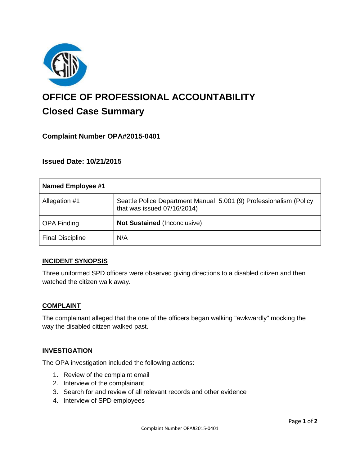

# **OFFICE OF PROFESSIONAL ACCOUNTABILITY Closed Case Summary**

# **Complaint Number OPA#2015-0401**

## **Issued Date: 10/21/2015**

| Named Employee #1       |                                                                                                   |
|-------------------------|---------------------------------------------------------------------------------------------------|
| Allegation #1           | Seattle Police Department Manual 5.001 (9) Professionalism (Policy<br>that was issued 07/16/2014) |
| <b>OPA Finding</b>      | <b>Not Sustained (Inconclusive)</b>                                                               |
| <b>Final Discipline</b> | N/A                                                                                               |

## **INCIDENT SYNOPSIS**

Three uniformed SPD officers were observed giving directions to a disabled citizen and then watched the citizen walk away.

#### **COMPLAINT**

The complainant alleged that the one of the officers began walking "awkwardly" mocking the way the disabled citizen walked past.

## **INVESTIGATION**

The OPA investigation included the following actions:

- 1. Review of the complaint email
- 2. Interview of the complainant
- 3. Search for and review of all relevant records and other evidence
- 4. Interview of SPD employees